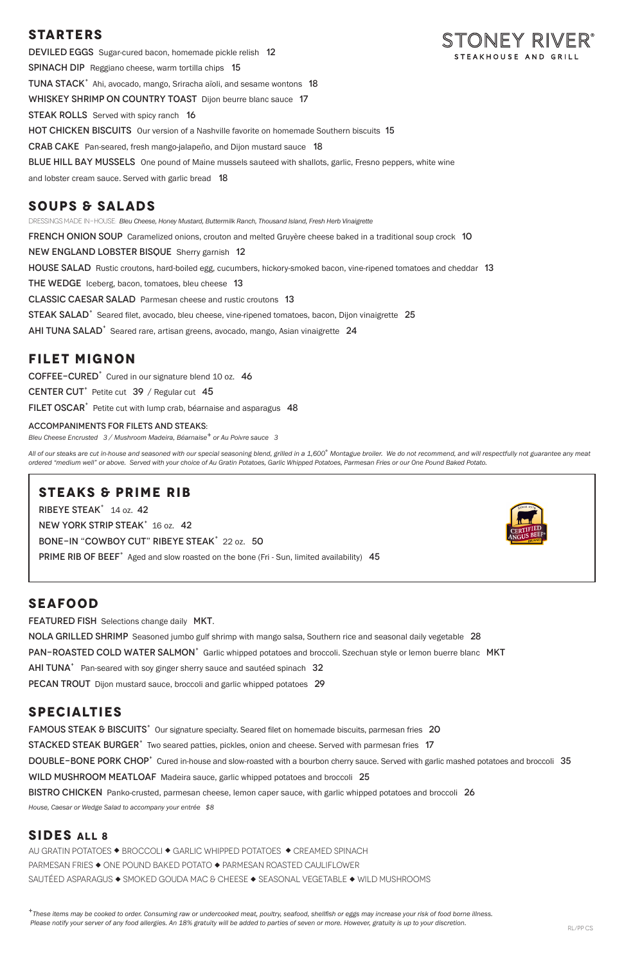# **STARTERS**

DEVILED EGGS Sugar-cured bacon, homemade pickle relish 12 SPINACH DIP Reggiano cheese, warm tortilla chips 15 TUNA STACK<sup>+</sup> Ahi, avocado, mango, Sriracha aïoli, and sesame wontons 18 WHISKEY SHRIMP ON COUNTRY TOAST Dijon beurre blanc sauce 17 **STEAK ROLLS** Served with spicy ranch 16 HOT CHICKEN BISCUITS Our version of a Nashville favorite on homemade Southern biscuits 15 Crab CakePan-seared, fresh mango-jalapeño, and Dijon mustard sauce 18 **BLUE HILL BAY MUSSELS** One pound of Maine mussels sauteed with shallots, garlic, Fresno peppers, white wine and lobster cream sauce. Served with garlic bread 18

DRESSINGS MADE IN-HOUSE: *Bleu Cheese, Honey Mustard, Buttermilk Ranch, Thousand Island, Fresh Herb Vinaigrette*  **FRENCH ONION SOUP** Caramelized onions, crouton and melted Gruyère cheese baked in a traditional soup crock 10 New England Lobster BisqueSherry garnish 12 HOUSE SALAD Rustic croutons, hard-boiled egg, cucumbers, hickory-smoked bacon, vine-ripened tomatoes and cheddar 13 THE WEDGE Iceberg, bacon, tomatoes, bleu cheese 13 Classic Caesar SaladParmesan cheese and rustic croutons 13 STEAK SALAD<sup>+</sup> Seared filet, avocado, bleu cheese, vine-ripened tomatoes, bacon, Dijon vinaigrette 25 AHI TUNA SALAD<sup>+</sup> Seared rare, artisan greens, avocado, mango, Asian vinaigrette 24

## **SOUPS & SALADS**

All of our steaks are cut in-house and seasoned with our special seasoning blend, grilled in a 1,600° Montague broiler. We do not recommend, and will respectfully not guarantee any meat *ordered "medium well" or above. Served with your choice of Au Gratin Potatoes, Garlic Whipped Potatoes, Parmesan Fries or our One Pound Baked Potato.*

## **FILET MIGNON**

COFFEE-CURED<sup>+</sup> Cured in our signature blend 10 oz. 46

CENTER CUT<sup>+</sup> Petite cut  $39$  / Regular cut 45

FILET OSCAR<sup>+</sup> Petite cut with lump crab, béarnaise and asparagus 48

#### ACCOMPANIMENTS FOR FILETS AND STEAKS:

*Bleu Cheese Encrusted 3 / Mushroom Madeira, Béarnaise+ or Au Poivre sauce 3*

*<sup>+</sup>These items may be cooked to order. Consuming raw or undercooked meat, poultry, seafood, shellfish or eggs may increase your risk of food borne illness.* Please notify your server of any food allergies. An 18% gratuity will be added to parties of seven or more. However, gratuity is up to your discretion.<br>RL/PP CS

## **STEAKS & PRIME RIB**

RIBEYE STEAK<sup>+</sup> 14 oz. 42

NEW YORK STRIP STEAK<sup>+</sup> 16 oz. 42

BONE-IN "COWBOY CUT" RIBEYE STEAK<sup>+</sup> 22 oz. 50

PRIME RIB OF BEEF<sup>+</sup> Aged and slow roasted on the bone (Fri - Sun, limited availability) 45



# **SEAFOOD**

FEATURED FISH Selections change daily MKT.

NOLA GRILLED SHRIMP Seasoned jumbo gulf shrimp with mango salsa, Southern rice and seasonal daily vegetable 28

PAN-ROASTED COLD WATER SALMON<sup>+</sup> Garlic whipped potatoes and broccoli. Szechuan style or lemon buerre blanc MKT

AHI TUNA<sup>+</sup> Pan-seared with soy ginger sherry sauce and sautéed spinach 32

PECAN TROUT Dijon mustard sauce, broccoli and garlic whipped potatoes 29

# STONEY RIVER° STEAKHOUSE AND GRILI

### **SPECIALTIES**

FAMOUS STEAK & BISCUITS<sup>+</sup> Our signature specialty. Seared filet on homemade biscuits, parmesan fries 20 STACKED STEAK BURGER<sup>+</sup> Two seared patties, pickles, onion and cheese. Served with parmesan fries 17 DOUBLE-BONE PORK CHOP<sup>+</sup> Cured in-house and slow-roasted with a bourbon cherry sauce. Served with garlic mashed potatoes and broccoli 35 WILD MUSHROOM MEATLOAF Madeira sauce, garlic whipped potatoes and broccoli 25 BISTRO CHICKEN Panko-crusted, parmesan cheese, lemon caper sauce, with garlic whipped potatoes and broccoli 26

*House, Caesar or Wedge Salad to accompany your entrée \$8*

## **SIDES ALL 8**

AU GRATIN POTATOES ◆ BROCCOLI ◆ GARLIC WHIPPED POTATOES ◆ CREAMED SPINACH PARMESAN FRIES  $\blacklozenge$  ONE POUND BAKED POTATO  $\blacklozenge$  PARMESAN ROASTED CAULIFLOWER SAUTÉED ASPARAGUS  $\blacklozenge$  SMOKED GOUDA MAC & CHEESE  $\blacklozenge$  SEASONAL VEGETABLE  $\blacklozenge$  WILD MUSHROOMS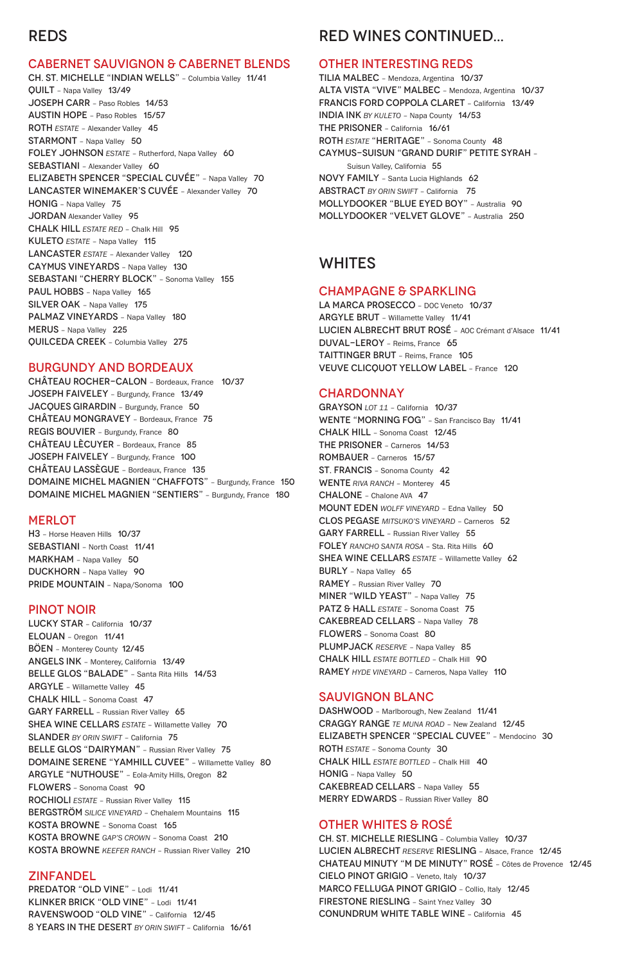# REDS

#### CABERNET SAUVIGNON & CABERNET BLENDS

CH. ST. MICHELLE "INDIAN WELLS" – Columbia Valley 11/41 QUILT – Napa Valley 13/49 JOSEPH CARR – Paso Robles 14/53 AUSTIN HOPE – Paso Robles 15/57 ROTH *ESTATE* – Alexander Valley 45 STARMONT - Napa Valley 50 FOLEY JOHNSON *ESTATE* – Rutherford, Napa Valley 60 SEBASTIANI - Alexander Valley 60 ELIZABETH SPENCER "SPECIAL CUVÉE" – Napa Valley 70 LANCASTER WINEMAKER'S CUVÉE – Alexander Valley 70 HONIG – Napa Valley 75 JORDAN Alexander Valley 95 CHALK HILL *ESTATE RED* – Chalk Hill 95 KULETO *ESTATE* – Napa Valley 115 LANCASTER *ESTATE* – Alexander Valley 120 CAYMUS VINEYARDS – Napa Valley 130 SEBASTANI "CHERRY BLOCK" - Sonoma Valley 155 PAUL HOBBS - Napa Valley 165 SILVER OAK - Napa Valley 175 PALMAZ VINEYARDS - Napa Valley 180 MERUS – Napa Valley 225 QUILCEDA CREEK – Columbia Valley 275

#### BURGUNDY AND BORDEAUX

CHÂTEAU ROCHER-CALON – Bordeaux, France 10/37 JOSEPH FAIVELEY – Burgundy, France 13/49 JACQUES GIRARDIN – Burgundy, France 50 CHÂTEAU MONGRAVEY – Bordeaux, France 75 REGIS BOUVIER – Burgundy, France 80 CHÂTEAU LÈCUYER – Bordeaux, France 85 JOSEPH FAIVELEY – Burgundy, France 100 CHÂTEAU LASSÈGUE – Bordeaux, France 135 DOMAINE MICHEL MAGNIEN "CHAFFOTS" – Burgundy, France 150 DOMAINE MICHEL MAGNIEN "SENTIERS" – Burgundy, France 180

#### **MERLOT**

GARY FARRELL - Russian River Valley 65 SHEA WINE CELLARS *ESTATE* - Willamette Valley 70 SLANDER *BY ORIN SWIFT* – California 75 BELLE GLOS "DAIRYMAN" - Russian River Valley 75 DOMAINE SERENE "YAMHILL CUVEE" – Willamette Valley 80 ARGYLE "NUTHOUSE" – Eola-Amity Hills, Oregon 82 FLOWERS – Sonoma Coast 90 ROCHIOLI *ESTATE* – Russian River Valley 115 BERGSTRÖM *SILICE VINEYARD* – Chehalem Mountains 115 KOSTA BROWNE – Sonoma Coast 165 KOSTA BROWNE *GAP'S CROWN* – Sonoma Coast 210 KOSTA BROWNE *KEEFER RANCH* – Russian River Valley 210

PREDATOR "OLD VINE" - Lodi 11/41 KLINKER BRICK "OLD VINE" – Lodi 11/41 RAVENSWOOD "OLD VINE" – California 12/45 8 YEARS IN THE DESERT *BY ORIN SWIFT* – California 16/61

DASHWOOD - Marlborough, New Zealand 11/41 CRAGGY RANGE *TE MUNA ROAD* – New Zealand 12/45 ELIZABETH SPENCER "SPECIAL CUVEE" – Mendocino 30 ROTH *ESTATE* – Sonoma County 30 CHALK HILL *ESTATE BOTTLED* – Chalk Hill 40 HONIG – Napa Valley 50 CAKEBREAD CELLARS – Napa Valley 55 MERRY EDWARDS - Russian River Valley 80

H3 – Horse Heaven Hills 10/37 SEBASTIANI – North Coast 11/41 MARKHAM - Napa Valley 50 DUCKHORN – Napa Valley 90 PRIDE MOUNTAIN – Napa/Sonoma 100

#### PINOT NOIR

LUCKY STAR – California 10/37 ELOUAN – Oregon 11/41 BÖEN – Monterey County 12/45 ANGELS INK – Monterey, California 13/49 BELLE GLOS "BALADE" – Santa Rita Hills 14/53 ARGYLE – Willamette Valley 45 CHALK HILL – Sonoma Coast 47

LA MARCA PROSECCO - DOC Veneto 10/37 ARGYLE BRUT – Willamette Valley 11/41 LUCIEN ALBRECHT BRUT ROSÉ – AOC Crémant d'Alsace 11/41 DUVAL-LEROY – Reims, France 65 TAITTINGER BRUT – Reims, France 105 VEUVE CLICQUOT YELLOW LABEL – France 120

#### ZINFANDEL

# RED WINES CONTINUED...

#### OTHER INTERESTING REDS

TILIA MALBEC – Mendoza, Argentina 10/37 ALTA VISTA "VIVE" MALBEC – Mendoza, Argentina 10/37 FRANCIS FORD COPPOLA CLARET – California 13/49 INDIA INK *BY KULETO* – Napa County 14/53 THE PRISONER – California 16/61 ROTH *ESTATE* "HERITAGE" – Sonoma County 48 CAYMUS-SUISUN "GRAND DURIF" PETITE SYRAH – Suisun Valley, California 55 NOVY FAMILY – Santa Lucia Highlands 62 ABSTRACT *BY ORIN SWIFT* – California 75 MOLLYDOOKER "BLUE EYED BOY" – Australia 90 MOLLYDOOKER "VELVET GLOVE" – Australia 250

### WHITES

#### CHAMPAGNE & SPARKLING

#### CHARDONNAY

GRAYSON *LOT 11* – California 10/37 WENTE "MORNING FOG" – San Francisco Bay 11/41 CHALK HILL – Sonoma Coast 12/45 THE PRISONER – Carneros 14/53 ROMBAUER – Carneros 15/57 ST. FRANCIS – Sonoma County 42 WENTE *RIVA RANCH* – Monterey 45 CHALONE – Chalone AVA 47 MOUNT EDEN *WOLFF VINEYARD* – Edna Valley 50 CLOS PEGASE *MITSUKO'S VINEYARD* – Carneros 52 GARY FARRELL – Russian River Valley 55 FOLEY *RANCHO SANTA ROSA* – Sta. Rita Hills 60 SHEA WINE CELLARS **ESTATE** - Willamette Valley 62 BURLY – Napa Valley 65 RAMEY – Russian River Valley 70 MINER "WILD YEAST" - Napa Valley 75 PATZ & HALL *ESTATE* – Sonoma Coast 75 CAKEBREAD CELLARS – Napa Valley 78 FLOWERS – Sonoma Coast 80 PLUMPJACK *RESERVE* – Napa Valley 85 CHALK HILL *ESTATE BOTTLED* – Chalk Hill 90 RAMEY *HYDE VINEYARD* – Carneros, Napa Valley 110

### SAUVIGNON BLANC

### OTHER WHITES & ROSÉ

CH. ST. MICHELLE RIESLING – Columbia Valley 10/37 LUCIEN ALBRECHT *RESERVE* RIESLING – Alsace, France 12/45 CHATEAU MINUTY "M DE MINUTY" ROSÉ – Côtes de Provence 12/45 CIELO PINOT GRIGIO – Veneto, Italy 10/37 MARCO FELLUGA PINOT GRIGIO – Collio, Italy 12/45 FIRESTONE RIESLING – Saint Ynez Valley 30 CONUNDRUM WHITE TABLE WINE – California 45